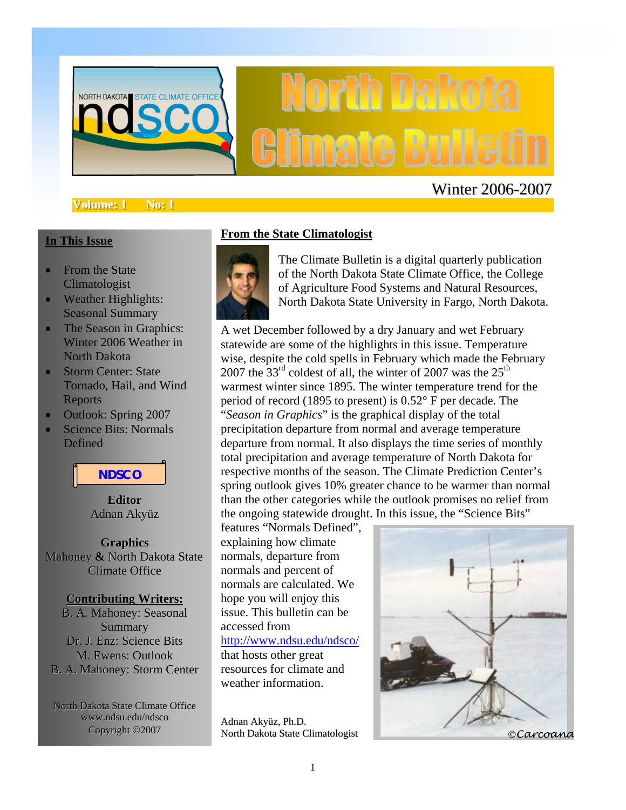

#### **Volume: 1 No: 1**

### Winter 2006-2007

#### **In This Issue**

- From the State Climatologist
- Weather Highlights: Seasonal Summary
- The Season in Graphics: Winter 2006 Weather in North Dakota
- Storm Center: State Tornado, Hail, and Wind Reports
- Outlook: Spring 2007
- Science Bits: Normals **Defined**



**Editor** Adnan Akyüz

**Graphics** Mahoney **&** North Dakota State Climate Office

#### **Contributing Writers:**

B. A. Mahoney: Seasonal Summary Dr. J. Enz: Science Bits M. Ewens: Outlook B. A. Mahoney: Storm Center

North Dakota State Climate Office www.ndsu.edu/ndsco<br>Copyright ©2007

#### **From the State Climatologist**



The Climate Bulletin is a digital quarterly publication of the North Dakota State Climate Office, the College of Agriculture Food Systems and Natural Resources, North Dakota State University in Fargo, North Dakota.

A wet December followed by a dry January and wet February statewide are some of the highlights in this issue. Temperature wise, despite the cold spells in February which made the February 2007 the  $33<sup>rd</sup>$  coldest of all, the winter of 2007 was the  $25<sup>th</sup>$ warmest winter since 1895. The winter temperature trend for the period of record (1895 to present) is 0.52° F per decade. The "*Season in Graphics*" is the graphical display of the total precipitation departure from normal and average temperature departure from normal. It also displays the time series of monthly total precipitation and average temperature of North Dakota for respective months of the season. The Climate Prediction Center's spring outlook gives 10% greater chance to be warmer than normal than the other categories while the outlook promises no relief from the ongoing statewide drought. In this issue, the "Science Bits"

features "Normals Defined", explaining how climate normals, departure from normals and percent of normals are calculated. We hope you will enjoy this issue. This bulletin can be accessed from http://www.ndsu.edu/ndsco/ that hosts other great resources for climate and weather information.

Adnan Akyüz, Ph.D.

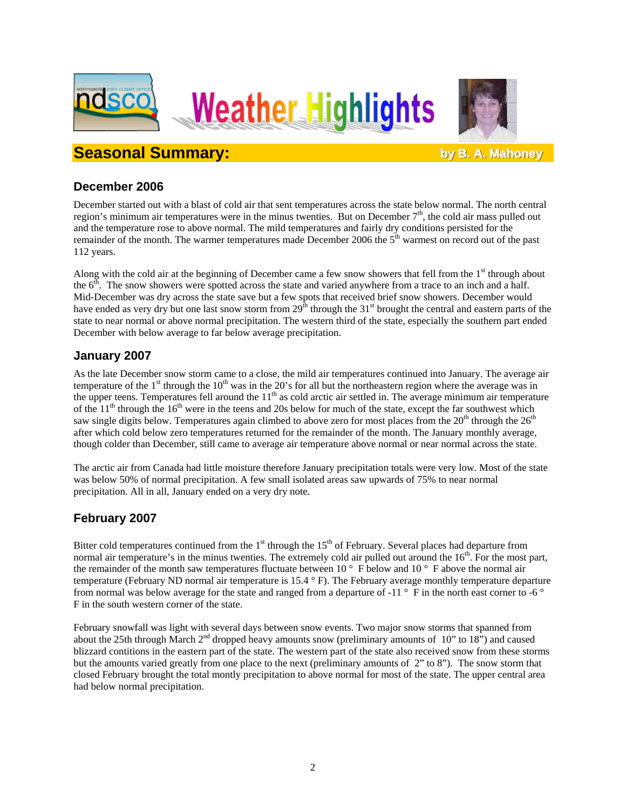





**Seasonal Summary: bbstack by B. A. Mahoney** 

### **December 2006**

December started out with a blast of cold air that sent temperatures across the state below normal. The north central region's minimum air temperatures were in the minus twenties. But on December  $7<sup>th</sup>$ , the cold air mass pulled out and the temperature rose to above normal. The mild temperatures and fairly dry conditions persisted for the remainder of the month. The warmer temperatures made December 2006 the 5<sup>th</sup> warmest on record out of the past 112 years.

Along with the cold air at the beginning of December came a few snow showers that fell from the  $1<sup>st</sup>$  through about the  $6<sup>th</sup>$ . The snow showers were spotted across the state and varied anywhere from a trace to an inch and a half. Mid-December was dry across the state save but a few spots that received brief snow showers. December would have ended as very dry but one last snow storm from  $29<sup>th</sup>$  through the 31<sup>st</sup> brought the central and eastern parts of the state to near normal or above normal precipitation. The western third of the state, especially the southern part ended December with below average to far below average precipitation.

### **January 2007**

As the late December snow storm came to a close, the mild air temperatures continued into January. The average air temperature of the  $1<sup>st</sup>$  through the  $10<sup>th</sup>$  was in the 20's for all but the northeastern region where the average was in the upper teens. Temperatures fell around the  $11<sup>th</sup>$  as cold arctic air settled in. The average minimum air temperature of the  $11<sup>th</sup>$  through the  $16<sup>th</sup>$  were in the teens and 20s below for much of the state, except the far southwest which saw single digits below. Temperatures again climbed to above zero for most places from the  $20<sup>th</sup>$  through the  $26<sup>th</sup>$ after which cold below zero temperatures returned for the remainder of the month. The January monthly average, though colder than December, still came to average air temperature above normal or near normal across the state.

The arctic air from Canada had little moisture therefore January precipitation totals were very low. Most of the state was below 50% of normal precipitation. A few small isolated areas saw upwards of 75% to near normal precipitation. All in all, January ended on a very dry note.

### **February 2007**

Bitter cold temperatures continued from the  $1<sup>st</sup>$  through the  $15<sup>th</sup>$  of February. Several places had departure from normal air temperature's in the minus twenties. The extremely cold air pulled out around the 16<sup>th</sup>. For the most part, the remainder of the month saw temperatures fluctuate between 10 ° F below and 10 ° F above the normal air temperature (February ND normal air temperature is 15.4 ° F). The February average monthly temperature departure from normal was below average for the state and ranged from a departure of  $-11^\circ$  F in the north east corner to  $-6^\circ$ F in the south western corner of the state.

February snowfall was light with several days between snow events. Two major snow storms that spanned from about the 25th through March  $2<sup>nd</sup>$  dropped heavy amounts snow (preliminary amounts of 10" to 18") and caused blizzard contitions in the eastern part of the state. The western part of the state also received snow from these storms but the amounts varied greatly from one place to the next (preliminary amounts of 2" to 8"). The snow storm that closed February brought the total montly precipitation to above normal for most of the state. The upper central area had below normal precipitation.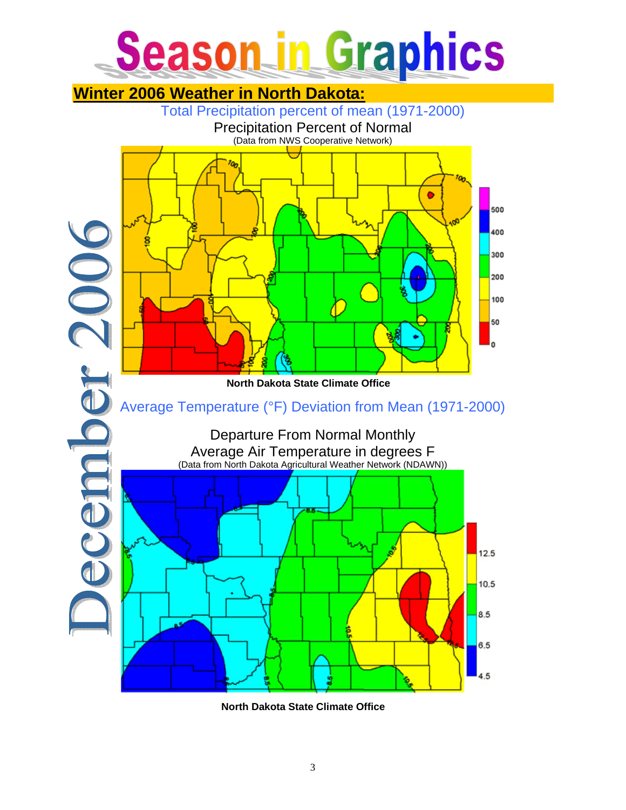## **Season in Graphics**



**North Dakota State Climate Office**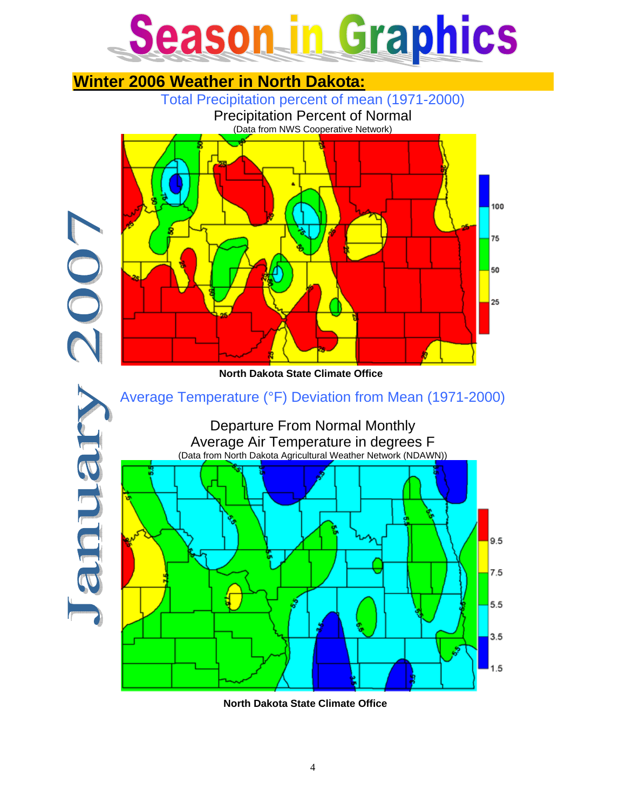### Season in Graphics



**North Dakota State Climate Office**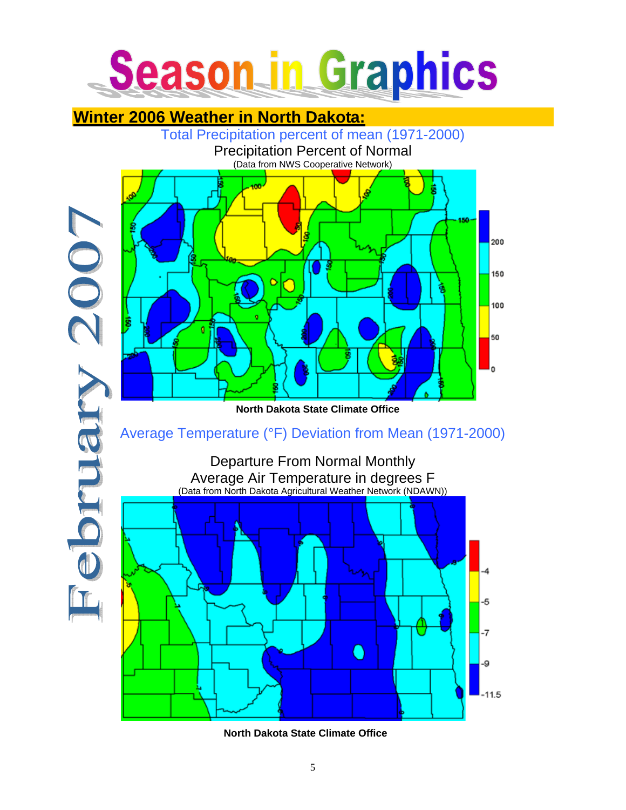

### **Winter 2006 Weather in North Dakota:**



**North Dakota State Climate Office**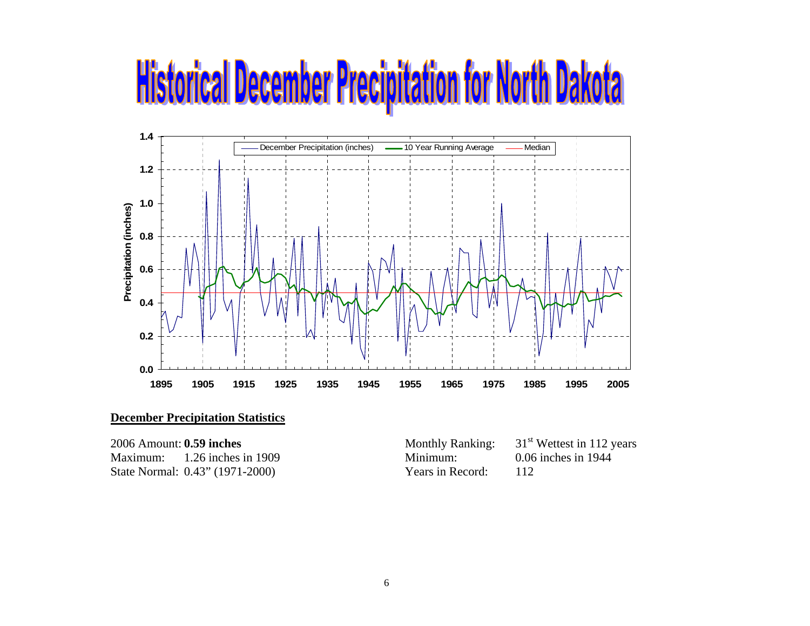### **Historical December Precipitation for North Dakota**



#### **December Precipitation Statistics**

State Normal: 0.43" (1971-2000) Years in Record: 112

2006 Amount: **0.59 inches**<br>
Monthly Ranking: 31<sup>st</sup> Wettest in 112 years<br>
Minimum: 1.26 inches in 1909<br>
Minimum: 0.06 inches in 1944 Maximum: 1.26 inches in 1909 Minimum: 0.06 inches in 1944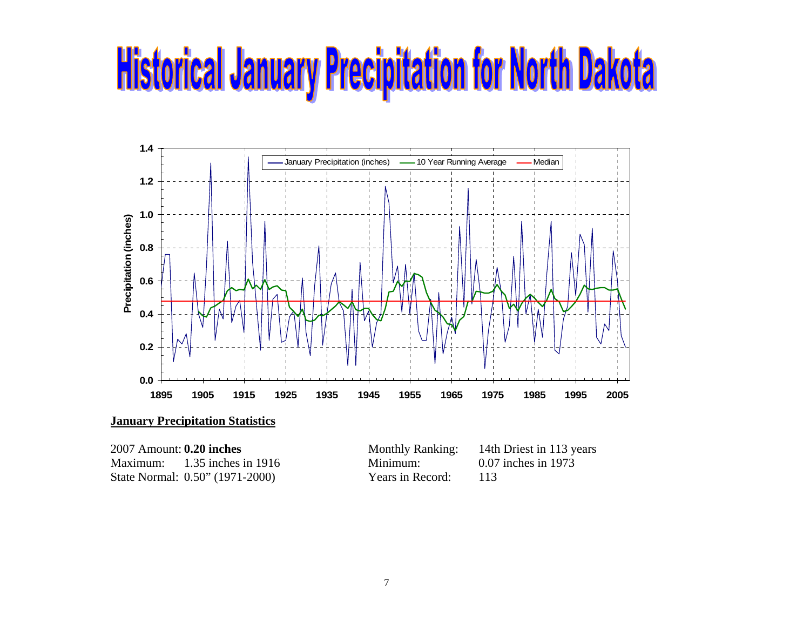## **Historical January Precipitation for North Dakota**



Maximum: 1.35 inches in 1916 Minimum: 0.07 inches in 1973 State Normal: 0.50" (1971-2000) Years in Record: 113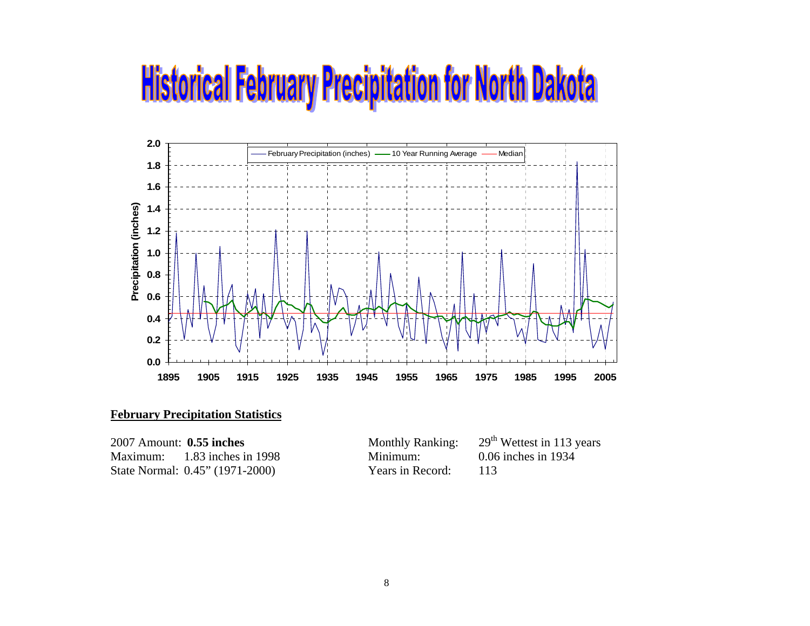### **Historical February Precipitation for North Dakota**



### **February Precipitation Statistics**

| 2007 Amount: <b>0.55 inches</b> |                                 | <b>Monthly Ranking:</b> | 29 <sup>th</sup> |
|---------------------------------|---------------------------------|-------------------------|------------------|
|                                 | Maximum: $1.83$ inches in 1998  | Minimum:                | 0.06             |
|                                 | State Normal: 0.45" (1971-2000) | Years in Record:        | 113              |

| 2007 Amount: <b>0.55 inches</b> |                                 | <b>Monthly Ranking:</b> | $29th$ Wettest in 113 years |
|---------------------------------|---------------------------------|-------------------------|-----------------------------|
|                                 | Maximum: 1.83 inches in 1998    | Minimum:                | 0.06 inches in 1934         |
|                                 | State Normal: 0.45" (1971-2000) | Years in Record:        |                             |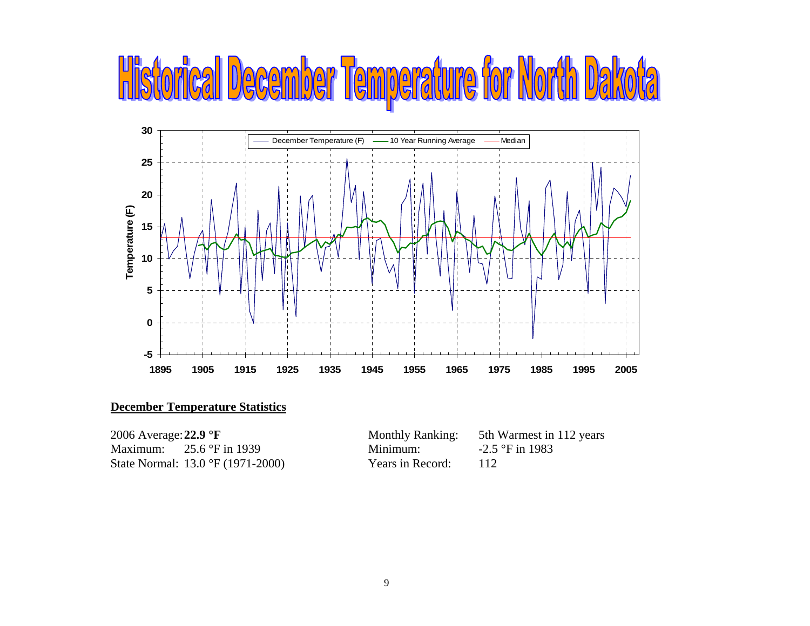### **Tist** I December Temperature for North



### **December Temperature Statistics**

| 2006 Average: $22.9 \text{ }^{\circ}$ F |                                                   | <b>Monthly Ranking:</b> | 5th Warmest in 112 years |
|-----------------------------------------|---------------------------------------------------|-------------------------|--------------------------|
|                                         | Maximum: $25.6 \text{°F}$ in 1939                 | Minimum:                | $-2.5$ °F in 1983        |
|                                         | State Normal: $13.0 \text{ }^{\circ}F(1971-2000)$ | Years in Record:        | 112                      |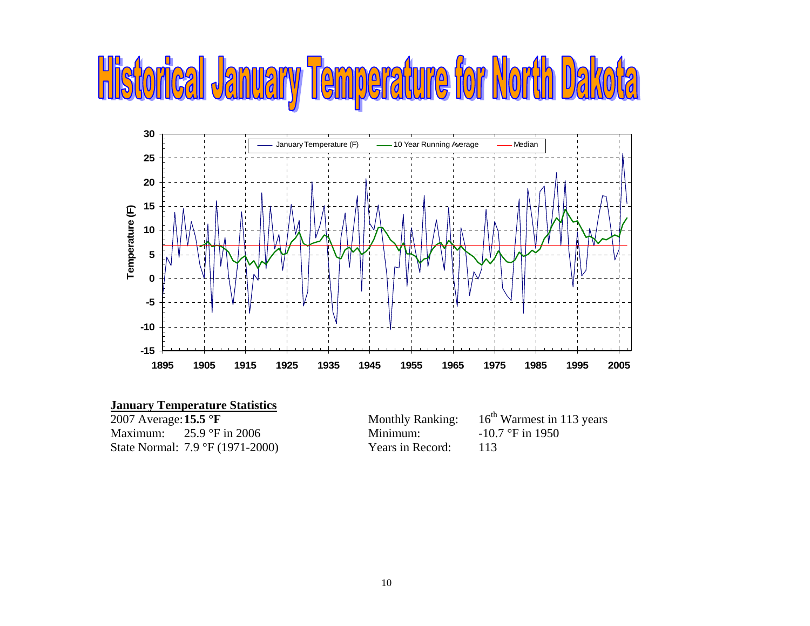# **Historical January Temperature for North**



| $16th$ Warmest in 113 years |
|-----------------------------|
| $-10.7$ °F in 1950          |
|                             |
|                             |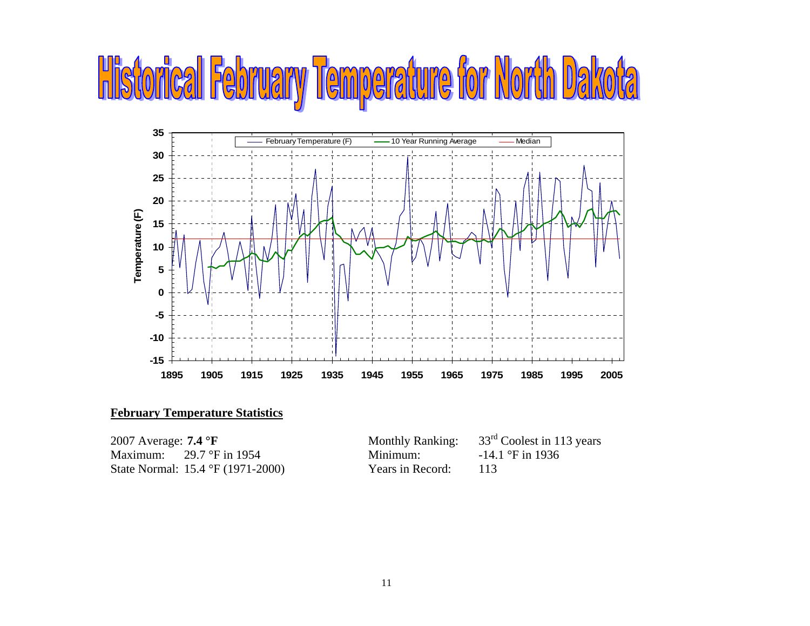### **Historical February Temperature for North Dal**



### **February Temperature Statistics**

| 2007 Average: $7.4 \text{ }^{\circ}F$ |                                                    | <b>Monthly Ranking:</b> | $33rd$ Coolest in 113 years |
|---------------------------------------|----------------------------------------------------|-------------------------|-----------------------------|
|                                       | Maximum: $29.7 \text{°F}$ in 1954                  | Minimum:                | $-14.1$ °F in 1936          |
|                                       | State Normal: $15.4 \text{ }^{\circ}F (1971-2000)$ | Years in Record:        | - 113                       |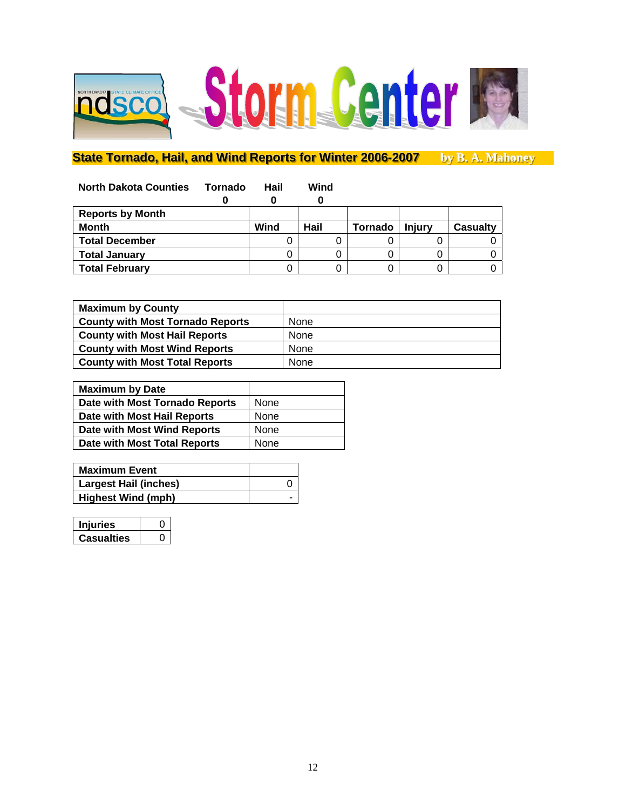

### State Tornado, Hail, and Wind Reports for Winter 2006-2007 by B. A. Mahoney

| <b>North Dakota Counties</b> | Tornado | Hail | Wind |         |               |          |
|------------------------------|---------|------|------|---------|---------------|----------|
|                              | 0       |      |      |         |               |          |
| <b>Reports by Month</b>      |         |      |      |         |               |          |
| <b>Month</b>                 |         | Wind | Hail | Tornado | <b>Injury</b> | Casualty |
| <b>Total December</b>        |         |      |      |         |               |          |
| <b>Total January</b>         |         |      |      |         |               |          |
| <b>Total February</b>        |         |      |      |         |               |          |

| <b>Maximum by County</b>                |      |
|-----------------------------------------|------|
| <b>County with Most Tornado Reports</b> | None |
| <b>County with Most Hail Reports</b>    | None |
| <b>County with Most Wind Reports</b>    | None |
| <b>County with Most Total Reports</b>   | None |

| <b>Maximum by Date</b>         |      |
|--------------------------------|------|
| Date with Most Tornado Reports | None |
| Date with Most Hail Reports    | None |
| Date with Most Wind Reports    | None |
| Date with Most Total Reports   | None |
|                                |      |

| <b>Maximum Event</b>         |  |
|------------------------------|--|
| <b>Largest Hail (inches)</b> |  |
| <b>Highest Wind (mph)</b>    |  |

| iuries     |  |
|------------|--|
| Casualties |  |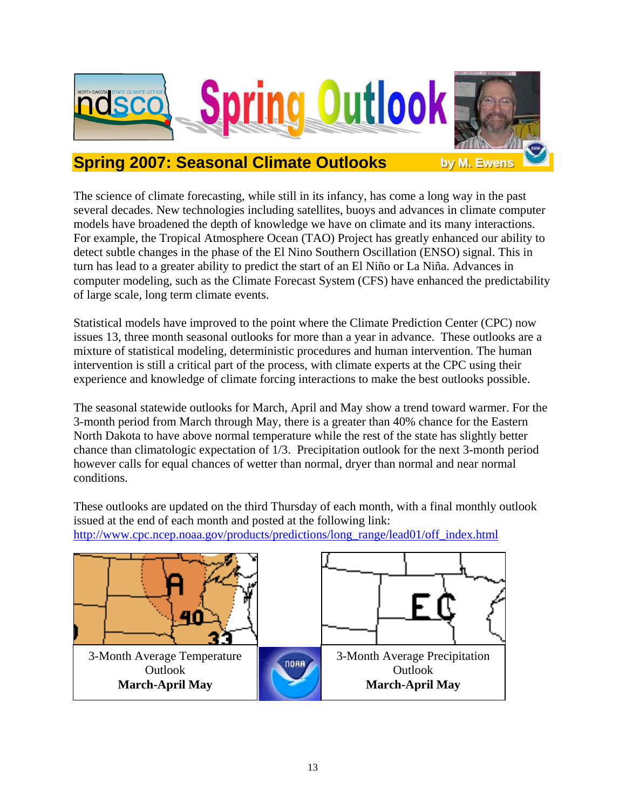

### **Spring 2007: Seasonal Climate Outlooks**

The science of climate forecasting, while still in its infancy, has come a long way in the past several decades. New technologies including satellites, buoys and advances in climate computer models have broadened the depth of knowledge we have on climate and its many interactions. For example, the Tropical Atmosphere Ocean (TAO) Project has greatly enhanced our ability to detect subtle changes in the phase of the El Nino Southern Oscillation (ENSO) signal. This in turn has lead to a greater ability to predict the start of an El Niño or La Niña. Advances in computer modeling, such as the Climate Forecast System (CFS) have enhanced the predictability of large scale, long term climate events.

Statistical models have improved to the point where the Climate Prediction Center (CPC) now issues 13, three month seasonal outlooks for more than a year in advance. These outlooks are a mixture of statistical modeling, deterministic procedures and human intervention. The human intervention is still a critical part of the process, with climate experts at the CPC using their experience and knowledge of climate forcing interactions to make the best outlooks possible.

The seasonal statewide outlooks for March, April and May show a trend toward warmer. For the 3-month period from March through May, there is a greater than 40% chance for the Eastern North Dakota to have above normal temperature while the rest of the state has slightly better chance than climatologic expectation of 1/3. Precipitation outlook for the next 3-month period however calls for equal chances of wetter than normal, dryer than normal and near normal conditions.

These outlooks are updated on the third Thursday of each month, with a final monthly outlook issued at the end of each month and posted at the following link: http://www.cpc.ncep.noaa.gov/products/predictions/long\_range/lead01/off\_index.html

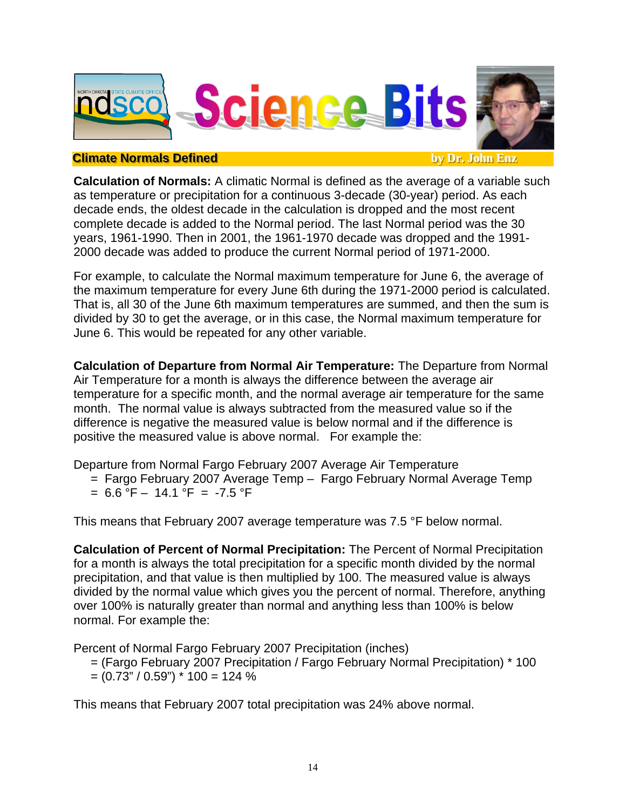

### **Climate Normals Defined**

**by Dr. John Enz** 

**Calculation of Normals:** A climatic Normal is defined as the average of a variable such as temperature or precipitation for a continuous 3-decade (30-year) period. As each decade ends, the oldest decade in the calculation is dropped and the most recent complete decade is added to the Normal period. The last Normal period was the 30 years, 1961-1990. Then in 2001, the 1961-1970 decade was dropped and the 1991- 2000 decade was added to produce the current Normal period of 1971-2000.

For example, to calculate the Normal maximum temperature for June 6, the average of the maximum temperature for every June 6th during the 1971-2000 period is calculated. That is, all 30 of the June 6th maximum temperatures are summed, and then the sum is divided by 30 to get the average, or in this case, the Normal maximum temperature for June 6. This would be repeated for any other variable.

**Calculation of Departure from Normal Air Temperature:** The Departure from Normal Air Temperature for a month is always the difference between the average air temperature for a specific month, and the normal average air temperature for the same month. The normal value is always subtracted from the measured value so if the difference is negative the measured value is below normal and if the difference is positive the measured value is above normal. For example the:

Departure from Normal Fargo February 2007 Average Air Temperature

- = Fargo February 2007 Average Temp Fargo February Normal Average Temp
- $= 6.6 \text{ }^{\circ}\text{F} 14.1 \text{ }^{\circ}\text{F} = -7.5 \text{ }^{\circ}\text{F}$

This means that February 2007 average temperature was 7.5 °F below normal.

**Calculation of Percent of Normal Precipitation:** The Percent of Normal Precipitation for a month is always the total precipitation for a specific month divided by the normal precipitation, and that value is then multiplied by 100. The measured value is always divided by the normal value which gives you the percent of normal. Therefore, anything over 100% is naturally greater than normal and anything less than 100% is below normal. For example the:

Percent of Normal Fargo February 2007 Precipitation (inches)

 = (Fargo February 2007 Precipitation / Fargo February Normal Precipitation) \* 100  $=(0.73" / 0.59")$  \* 100 = 124 %

This means that February 2007 total precipitation was 24% above normal.